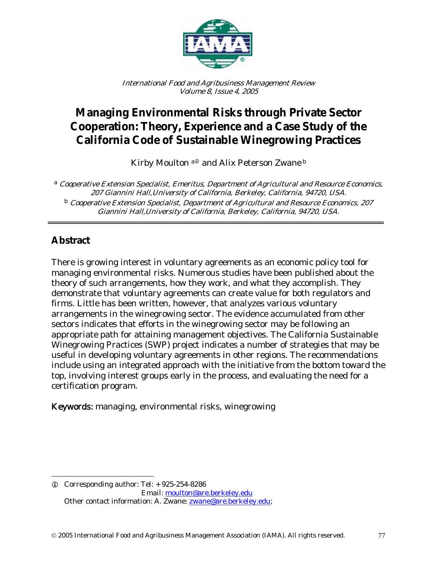

International Food and Agribusiness Management Review Volume 8, Issue 4, 2005

# **Managing Environmental Risks through Private Sector Cooperation: Theory, Experience and a Case Study of the California Code of Sustainable Winegrowing Practices**

Kirby Moulton a<sup>®</sup> and Alix Peterson Zwane b

<sup>a</sup> Cooperative Extension Specialist, Emeritus, Department of Agricultural and Resource Economics, 207 Giannini Hall,University of California, Berkeley, California, 94720, USA. <sup>b</sup> Cooperative Extension Specialist, Department of Agricultural and Resource Economics, 207 Giannini Hall,University of California, Berkeley, California, 94720, USA.

## **Abstract**

 $\overline{a}$ 

There is growing interest in voluntary agreements as an economic policy tool for managing environmental risks. Numerous studies have been published about the theory of such arrangements, how they work, and what they accomplish. They demonstrate that voluntary agreements can create value for both regulators and firms. Little has been written, however, that analyzes various voluntary arrangements in the winegrowing sector. The evidence accumulated from other sectors indicates that efforts in the winegrowing sector may be following an appropriate path for attaining management objectives. The California Sustainable Winegrowing Practices (SWP) project indicates a number of strategies that may be useful in developing voluntary agreements in other regions. The recommendations include using an integrated approach with the initiative from the bottom toward the top, involving interest groups early in the process, and evaluating the need for a certification program.

Keywords: managing, environmental risks, winegrowing

 $Q$  Corresponding author: Tel:  $+925-254-8286$ Email: moulton@are.berkeley.edu Other contact information: A. Zwane: **zwane@are.berkeley.edu**;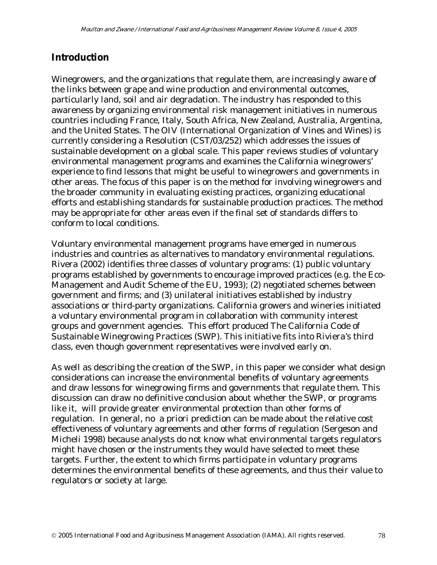### **Introduction**

Winegrowers, and the organizations that regulate them, are increasingly aware of the links between grape and wine production and environmental outcomes, particularly land, soil and air degradation. The industry has responded to this awareness by organizing environmental risk management initiatives in numerous countries including France, Italy, South Africa, New Zealand, Australia, Argentina, and the United States. The OIV (International Organization of Vines and Wines) is currently considering a Resolution (CST/03/252) which addresses the issues of sustainable development on a global scale. This paper reviews studies of voluntary environmental management programs and examines the California winegrowers' experience to find lessons that might be useful to winegrowers and governments in other areas. The focus of this paper is on the method for involving winegrowers and the broader community in evaluating existing practices, organizing educational efforts and establishing standards for sustainable production practices. The method may be appropriate for other areas even if the final set of standards differs to conform to local conditions.

Voluntary environmental management programs have emerged in numerous industries and countries as alternatives to mandatory environmental regulations. Rivera (2002) identifies three classes of voluntary programs: (1) public voluntary programs established by governments to encourage improved practices (e.g. the Eco-Management and Audit Scheme of the EU, 1993); (2) negotiated schemes between government and firms; and (3) unilateral initiatives established by industry associations or third-party organizations. California growers and wineries initiated a voluntary environmental program in collaboration with community interest groups and government agencies. This effort produced The California Code of Sustainable Winegrowing Practices (SWP). This initiative fits into Riviera's third class, even though government representatives were involved early on.

As well as describing the creation of the SWP, in this paper we consider what design considerations can increase the environmental benefits of voluntary agreements and draw lessons for winegrowing firms and governments that regulate them. This discussion can draw no definitive conclusion about whether the SWP, or programs like it, will provide greater environmental protection than other forms of regulation. In general, no a priori prediction can be made about the relative cost effectiveness of voluntary agreements and other forms of regulation (Sergeson and Micheli 1998) because analysts do not know what environmental targets regulators might have chosen or the instruments they would have selected to meet these targets. Further, the extent to which firms participate in voluntary programs determines the environmental benefits of these agreements, and thus their value to regulators or society at large.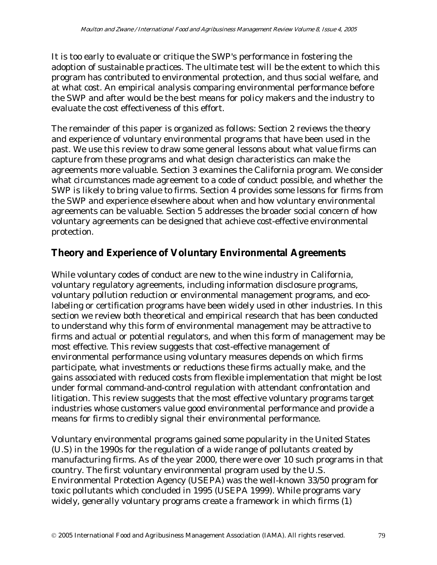It is too early to evaluate or critique the SWP's performance in fostering the adoption of sustainable practices. The ultimate test will be the extent to which this program has contributed to environmental protection, and thus social welfare, and at what cost. An empirical analysis comparing environmental performance before the SWP and after would be the best means for policy makers and the industry to evaluate the cost effectiveness of this effort.

The remainder of this paper is organized as follows: Section 2 reviews the theory and experience of voluntary environmental programs that have been used in the past. We use this review to draw some general lessons about what value firms can capture from these programs and what design characteristics can make the agreements more valuable. Section 3 examines the California program. We consider what circumstances made agreement to a code of conduct possible, and whether the SWP is likely to bring value to firms. Section 4 provides some lessons for firms from the SWP and experience elsewhere about when and how voluntary environmental agreements can be valuable. Section 5 addresses the broader social concern of how voluntary agreements can be designed that achieve cost-effective environmental protection.

### **Theory and Experience of Voluntary Environmental Agreements**

While voluntary codes of conduct are new to the wine industry in California, voluntary regulatory agreements, including information disclosure programs, voluntary pollution reduction or environmental management programs, and ecolabeling or certification programs have been widely used in other industries. In this section we review both theoretical and empirical research that has been conducted to understand why this form of environmental management may be attractive to firms and actual or potential regulators, and when this form of management may be most effective. This review suggests that cost-effective management of environmental performance using voluntary measures depends on which firms participate, what investments or reductions these firms actually make, and the gains associated with reduced costs from flexible implementation that might be lost under formal command-and-control regulation with attendant confrontation and litigation. This review suggests that the most effective voluntary programs target industries whose customers value good environmental performance and provide a means for firms to credibly signal their environmental performance.

Voluntary environmental programs gained some popularity in the United States (U.S) in the 1990s for the regulation of a wide range of pollutants created by manufacturing firms. As of the year 2000, there were over 10 such programs in that country. The first voluntary environmental program used by the U.S. Environmental Protection Agency (USEPA) was the well-known 33/50 program for toxic pollutants which concluded in 1995 (USEPA 1999). While programs vary widely, generally voluntary programs create a framework in which firms (1)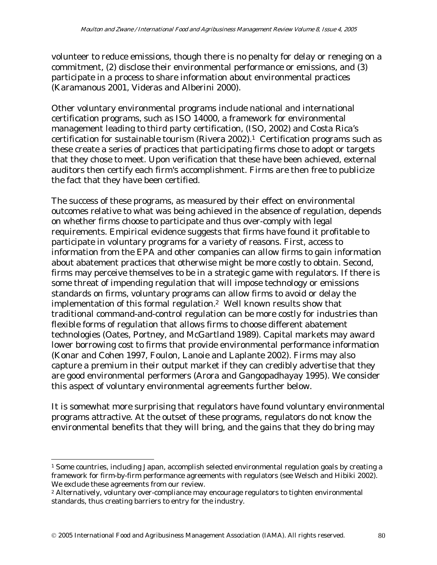volunteer to reduce emissions, though there is no penalty for delay or reneging on a commitment, (2) disclose their environmental performance or emissions, and (3) participate in a process to share information about environmental practices (Karamanous 2001, Videras and Alberini 2000).

Other voluntary environmental programs include national and international certification programs, such as ISO 14000, a framework for environmental management leading to third party certification, (ISO, 2002) and Costa Rica's certification for sustainable tourism (Rivera 2002).1 Certification programs such as these create a series of practices that participating firms chose to adopt or targets that they chose to meet. Upon verification that these have been achieved, external auditors then certify each firm's accomplishment. Firms are then free to publicize the fact that they have been certified.

The success of these programs, as measured by their effect on environmental outcomes relative to what was being achieved in the absence of regulation, depends on whether firms choose to participate and thus over-comply with legal requirements. Empirical evidence suggests that firms have found it profitable to participate in voluntary programs for a variety of reasons. First, access to information from the EPA and other companies can allow firms to gain information about abatement practices that otherwise might be more costly to obtain. Second, firms may perceive themselves to be in a strategic game with regulators. If there is some threat of impending regulation that will impose technology or emissions standards on firms, voluntary programs can allow firms to avoid or delay the implementation of this formal regulation.2 Well known results show that traditional command-and-control regulation can be more costly for industries than flexible forms of regulation that allows firms to choose different abatement technologies (Oates, Portney, and McGartland 1989). Capital markets may award lower borrowing cost to firms that provide environmental performance information (Konar and Cohen 1997, Foulon, Lanoie and Laplante 2002). Firms may also capture a premium in their output market if they can credibly advertise that they are good environmental performers (Arora and Gangopadhayay 1995). We consider this aspect of voluntary environmental agreements further below.

It is somewhat more surprising that regulators have found voluntary environmental programs attractive. At the outset of these programs, regulators do not know the environmental benefits that they will bring, and the gains that they do bring may

 $\overline{a}$ 

<sup>&</sup>lt;sup>1</sup> Some countries, including Japan, accomplish selected environmental regulation goals by creating a framework for firm-by-firm performance agreements with regulators (see Welsch and Hibiki 2002). We exclude these agreements from our review.

<sup>2</sup> Alternatively, voluntary over-compliance may encourage regulators to tighten environmental standards, thus creating barriers to entry for the industry.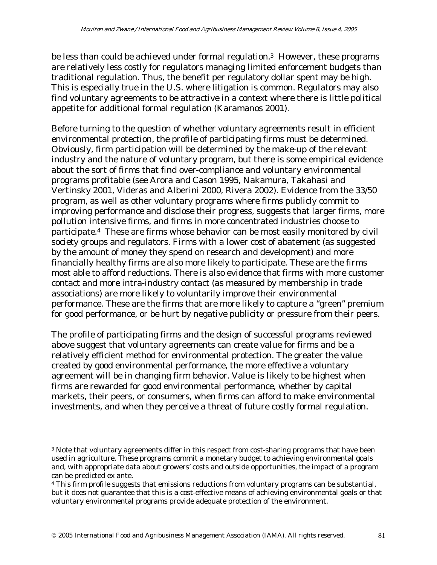be less than could be achieved under formal regulation.<sup>3</sup> However, these programs are relatively less costly for regulators managing limited enforcement budgets than traditional regulation. Thus, the benefit per regulatory dollar spent may be high. This is especially true in the U.S. where litigation is common. Regulators may also find voluntary agreements to be attractive in a context where there is little political appetite for additional formal regulation (Karamanos 2001).

Before turning to the question of whether voluntary agreements result in efficient environmental protection, the profile of participating firms must be determined. Obviously, firm participation will be determined by the make-up of the relevant industry and the nature of voluntary program, but there is some empirical evidence about the sort of firms that find over-compliance and voluntary environmental programs profitable (see Arora and Cason 1995, Nakamura, Takahasi and Vertinsky 2001, Videras and Alberini 2000, Rivera 2002). Evidence from the 33/50 program, as well as other voluntary programs where firms publicly commit to improving performance and disclose their progress, suggests that larger firms, more pollution intensive firms, and firms in more concentrated industries choose to participate.4 These are firms whose behavior can be most easily monitored by civil society groups and regulators. Firms with a lower cost of abatement (as suggested by the amount of money they spend on research and development) and more financially healthy firms are also more likely to participate. These are the firms most able to afford reductions. There is also evidence that firms with more customer contact and more intra-industry contact (as measured by membership in trade associations) are more likely to voluntarily improve their environmental performance. These are the firms that are more likely to capture a "green" premium for good performance, or be hurt by negative publicity or pressure from their peers.

The profile of participating firms and the design of successful programs reviewed above suggest that voluntary agreements can create value for firms and be a relatively efficient method for environmental protection. The greater the value created by good environmental performance, the more effective a voluntary agreement will be in changing firm behavior. Value is likely to be highest when firms are rewarded for good environmental performance, whether by capital markets, their peers, or consumers, when firms can afford to make environmental investments, and when they perceive a threat of future costly formal regulation.

 $\overline{a}$ 

<sup>&</sup>lt;sup>3</sup> Note that voluntary agreements differ in this respect from cost-sharing programs that have been used in agriculture. These programs commit a monetary budget to achieving environmental goals and, with appropriate data about growers' costs and outside opportunities, the impact of a program can be predicted ex ante.

<sup>&</sup>lt;sup>4</sup> This firm profile suggests that emissions reductions from voluntary programs can be substantial, but it does not guarantee that this is a cost-effective means of achieving environmental goals or that voluntary environmental programs provide adequate protection of the environment.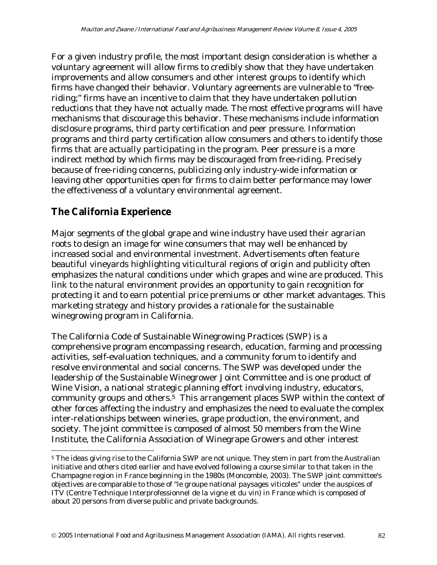For a given industry profile, the most important design consideration is whether a voluntary agreement will allow firms to credibly show that they have undertaken improvements and allow consumers and other interest groups to identify which firms have changed their behavior. Voluntary agreements are vulnerable to "freeriding;" firms have an incentive to claim that they have undertaken pollution reductions that they have not actually made. The most effective programs will have mechanisms that discourage this behavior. These mechanisms include information disclosure programs, third party certification and peer pressure. Information programs and third party certification allow consumers and others to identify those firms that are actually participating in the program. Peer pressure is a more indirect method by which firms may be discouraged from free-riding. Precisely because of free-riding concerns, publicizing only industry-wide information or leaving other opportunities open for firms to claim better performance may lower the effectiveness of a voluntary environmental agreement.

### **The California Experience**

 $\overline{a}$ 

Major segments of the global grape and wine industry have used their agrarian roots to design an image for wine consumers that may well be enhanced by increased social and environmental investment. Advertisements often feature beautiful vineyards highlighting viticultural regions of origin and publicity often emphasizes the natural conditions under which grapes and wine are produced. This link to the natural environment provides an opportunity to gain recognition for protecting it and to earn potential price premiums or other market advantages. This marketing strategy and history provides a rationale for the sustainable winegrowing program in California.

The California Code of Sustainable Winegrowing Practices (SWP) is a comprehensive program encompassing research, education, farming and processing activities, self-evaluation techniques, and a community forum to identify and resolve environmental and social concerns. The SWP was developed under the leadership of the Sustainable Winegrower Joint Committee and is one product of Wine Vision, a national strategic planning effort involving industry, educators, community groups and others.5 This arrangement places SWP within the context of other forces affecting the industry and emphasizes the need to evaluate the complex inter-relationships between wineries, grape production, the environment, and society. The joint committee is composed of almost 50 members from the Wine Institute, the California Association of Winegrape Growers and other interest

<sup>&</sup>lt;sup>5</sup> The ideas giving rise to the California SWP are not unique. They stem in part from the Australian initiative and others cited earlier and have evolved following a course similar to that taken in the Champagne region in France beginning in the 1980s (Moncomble, 2003). The SWP joint committee's objectives are comparable to those of "le groupe national paysages viticoles" under the auspices of ITV (Centre Technique Interprofessionnel de la vigne et du vin) in France which is composed of about 20 persons from diverse public and private backgrounds.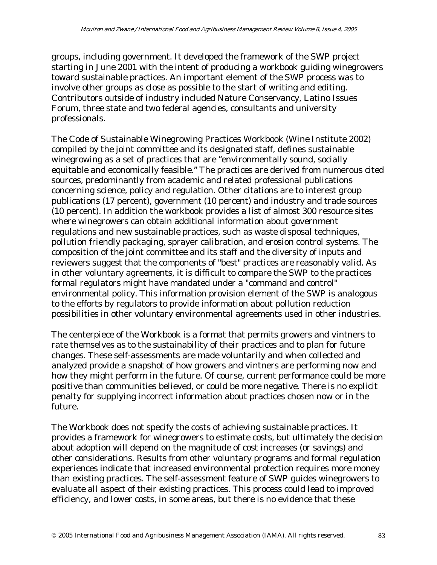groups, including government. It developed the framework of the SWP project starting in June 2001 with the intent of producing a workbook guiding winegrowers toward sustainable practices. An important element of the SWP process was to involve other groups as close as possible to the start of writing and editing. Contributors outside of industry included Nature Conservancy, Latino Issues Forum, three state and two federal agencies, consultants and university professionals.

The Code of Sustainable Winegrowing Practices Workbook (Wine Institute 2002) compiled by the joint committee and its designated staff, defines sustainable winegrowing as a set of practices that are "environmentally sound, socially equitable and economically feasible." The practices are derived from numerous cited sources, predominantly from academic and related professional publications concerning science, policy and regulation. Other citations are to interest group publications (17 percent), government (10 percent) and industry and trade sources (10 percent). In addition the workbook provides a list of almost 300 resource sites where winegrowers can obtain additional information about government regulations and new sustainable practices, such as waste disposal techniques, pollution friendly packaging, sprayer calibration, and erosion control systems. The composition of the joint committee and its staff and the diversity of inputs and reviewers suggest that the components of "best" practices are reasonably valid. As in other voluntary agreements, it is difficult to compare the SWP to the practices formal regulators might have mandated under a "command and control" environmental policy. This information provision element of the SWP is analogous to the efforts by regulators to provide information about pollution reduction possibilities in other voluntary environmental agreements used in other industries.

The centerpiece of the Workbook is a format that permits growers and vintners to rate themselves as to the sustainability of their practices and to plan for future changes. These self-assessments are made voluntarily and when collected and analyzed provide a snapshot of how growers and vintners are performing now and how they might perform in the future. Of course, current performance could be more positive than communities believed, or could be more negative. There is no explicit penalty for supplying incorrect information about practices chosen now or in the future.

The Workbook does not specify the costs of achieving sustainable practices. It provides a framework for winegrowers to estimate costs, but ultimately the decision about adoption will depend on the magnitude of cost increases (or savings) and other considerations. Results from other voluntary programs and formal regulation experiences indicate that increased environmental protection requires more money than existing practices. The self-assessment feature of SWP guides winegrowers to evaluate all aspect of their existing practices. This process could lead to improved efficiency, and lower costs, in some areas, but there is no evidence that these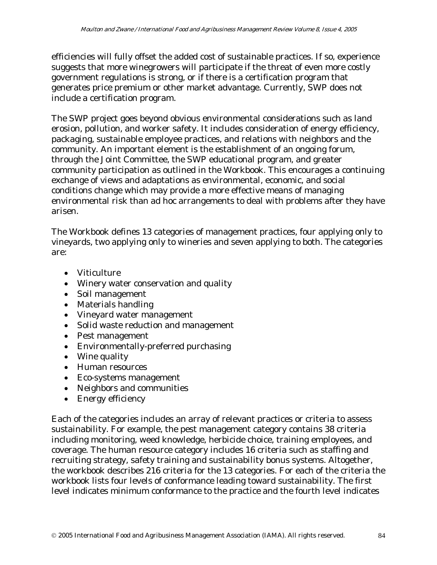efficiencies will fully offset the added cost of sustainable practices. If so, experience suggests that more winegrowers will participate if the threat of even more costly government regulations is strong, or if there is a certification program that generates price premium or other market advantage. Currently, SWP does not include a certification program.

The SWP project goes beyond obvious environmental considerations such as land erosion, pollution, and worker safety. It includes consideration of energy efficiency, packaging, sustainable employee practices, and relations with neighbors and the community. An important element is the establishment of an ongoing forum, through the Joint Committee, the SWP educational program, and greater community participation as outlined in the Workbook. This encourages a continuing exchange of views and adaptations as environmental, economic, and social conditions change which may provide a more effective means of managing environmental risk than ad hoc arrangements to deal with problems after they have arisen.

The Workbook defines 13 categories of management practices, four applying only to vineyards, two applying only to wineries and seven applying to both. The categories are:

- Viticulture
- Winery water conservation and quality
- Soil management
- Materials handling
- Vineyard water management
- Solid waste reduction and management
- Pest management
- Environmentally-preferred purchasing
- Wine quality
- Human resources
- Eco-systems management
- Neighbors and communities
- Energy efficiency

Each of the categories includes an array of relevant practices or criteria to assess sustainability. For example, the pest management category contains 38 criteria including monitoring, weed knowledge, herbicide choice, training employees, and coverage. The human resource category includes 16 criteria such as staffing and recruiting strategy, safety training and sustainability bonus systems. Altogether, the workbook describes 216 criteria for the 13 categories. For each of the criteria the workbook lists four levels of conformance leading toward sustainability. The first level indicates minimum conformance to the practice and the fourth level indicates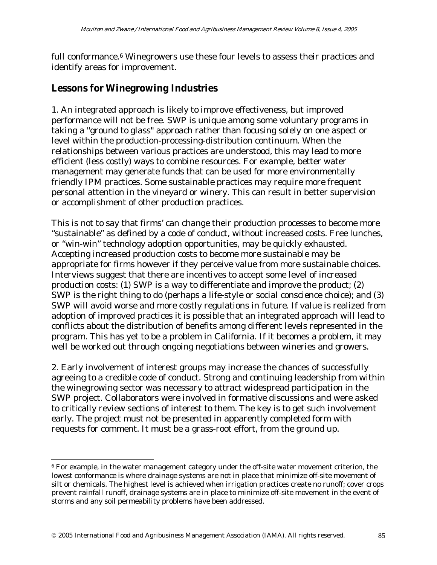full conformance.<sup>6</sup> Winegrowers use these four levels to assess their practices and identify areas for improvement.

### **Lessons for Winegrowing Industries**

 $\overline{a}$ 

1. An integrated approach is likely to improve effectiveness, but improved performance will not be free. SWP is unique among some voluntary programs in taking a "ground to glass" approach rather than focusing solely on one aspect or level within the production-processing-distribution continuum. When the relationships between various practices are understood, this may lead to more efficient (less costly) ways to combine resources. For example, better water management may generate funds that can be used for more environmentally friendly IPM practices. Some sustainable practices may require more frequent personal attention in the vineyard or winery. This can result in better supervision or accomplishment of other production practices.

This is not to say that firms' can change their production processes to become more "sustainable" as defined by a code of conduct, without increased costs. Free lunches, or "win-win" technology adoption opportunities, may be quickly exhausted. Accepting increased production costs to become more sustainable may be appropriate for firms however if they perceive value from more sustainable choices. Interviews suggest that there are incentives to accept some level of increased production costs: (1) SWP is a way to differentiate and improve the product; (2) SWP is the right thing to do (perhaps a life-style or social conscience choice); and (3) SWP will avoid worse and more costly regulations in future. If value is realized from adoption of improved practices it is possible that an integrated approach will lead to conflicts about the distribution of benefits among different levels represented in the program. This has yet to be a problem in California. If it becomes a problem, it may well be worked out through ongoing negotiations between wineries and growers.

2. Early involvement of interest groups may increase the chances of successfully agreeing to a credible code of conduct. Strong and continuing leadership from within the winegrowing sector was necessary to attract widespread participation in the SWP project. Collaborators were involved in formative discussions and were asked to critically review sections of interest to them. The key is to get such involvement early. The project must not be presented in apparently completed form with requests for comment. It must be a grass-root effort, from the ground up.

<sup>6</sup> For example, in the water management category under the off-site water movement criterion, the lowest conformance is where drainage systems are not in place that minimize off-site movement of silt or chemicals. The highest level is achieved when irrigation practices create no runoff; cover crops prevent rainfall runoff, drainage systems are in place to minimize off-site movement in the event of storms and any soil permeability problems have been addressed.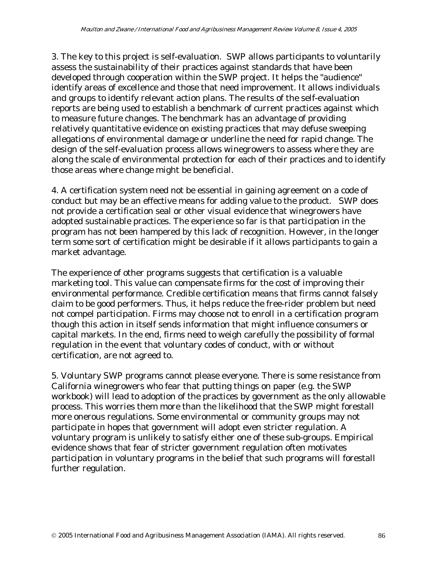3. The key to this project is self-evaluation. SWP allows participants to voluntarily assess the sustainability of their practices against standards that have been developed through cooperation within the SWP project. It helps the "audience" identify areas of excellence and those that need improvement. It allows individuals and groups to identify relevant action plans. The results of the self-evaluation reports are being used to establish a benchmark of current practices against which to measure future changes. The benchmark has an advantage of providing relatively quantitative evidence on existing practices that may defuse sweeping allegations of environmental damage or underline the need for rapid change. The design of the self-evaluation process allows winegrowers to assess where they are along the scale of environmental protection for each of their practices and to identify those areas where change might be beneficial.

4. A certification system need not be essential in gaining agreement on a code of conduct but may be an effective means for adding value to the product. SWP does not provide a certification seal or other visual evidence that winegrowers have adopted sustainable practices. The experience so far is that participation in the program has not been hampered by this lack of recognition. However, in the longer term some sort of certification might be desirable if it allows participants to gain a market advantage.

The experience of other programs suggests that certification is a valuable marketing tool. This value can compensate firms for the cost of improving their environmental performance. Credible certification means that firms cannot falsely claim to be good performers. Thus, it helps reduce the free-rider problem but need not compel participation. Firms may choose not to enroll in a certification program though this action in itself sends information that might influence consumers or capital markets. In the end, firms need to weigh carefully the possibility of formal regulation in the event that voluntary codes of conduct, with or without certification, are not agreed to.

5. Voluntary SWP programs cannot please everyone. There is some resistance from California winegrowers who fear that putting things on paper (e.g. the SWP workbook) will lead to adoption of the practices by government as the only allowable process. This worries them more than the likelihood that the SWP might forestall more onerous regulations. Some environmental or community groups may not participate in hopes that government will adopt even stricter regulation. A voluntary program is unlikely to satisfy either one of these sub-groups. Empirical evidence shows that fear of stricter government regulation often motivates participation in voluntary programs in the belief that such programs will forestall further regulation.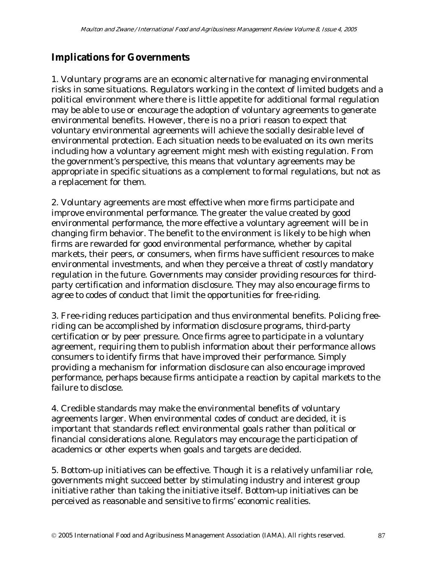### **Implications for Governments**

1. Voluntary programs are an economic alternative for managing environmental risks in some situations. Regulators working in the context of limited budgets and a political environment where there is little appetite for additional formal regulation may be able to use or encourage the adoption of voluntary agreements to generate environmental benefits. However, there is no a priori reason to expect that voluntary environmental agreements will achieve the socially desirable level of environmental protection. Each situation needs to be evaluated on its own merits including how a voluntary agreement might mesh with existing regulation. From the government's perspective, this means that voluntary agreements may be appropriate in specific situations as a complement to formal regulations, but not as a replacement for them.

2. Voluntary agreements are most effective when more firms participate and improve environmental performance. The greater the value created by good environmental performance, the more effective a voluntary agreement will be in changing firm behavior. The benefit to the environment is likely to be high when firms are rewarded for good environmental performance, whether by capital markets, their peers, or consumers, when firms have sufficient resources to make environmental investments, and when they perceive a threat of costly mandatory regulation in the future. Governments may consider providing resources for thirdparty certification and information disclosure. They may also encourage firms to agree to codes of conduct that limit the opportunities for free-riding.

3. Free-riding reduces participation and thus environmental benefits. Policing freeriding can be accomplished by information disclosure programs, third-party certification or by peer pressure. Once firms agree to participate in a voluntary agreement, requiring them to publish information about their performance allows consumers to identify firms that have improved their performance. Simply providing a mechanism for information disclosure can also encourage improved performance, perhaps because firms anticipate a reaction by capital markets to the failure to disclose.

4. Credible standards may make the environmental benefits of voluntary agreements larger. When environmental codes of conduct are decided, it is important that standards reflect environmental goals rather than political or financial considerations alone. Regulators may encourage the participation of academics or other experts when goals and targets are decided.

5. Bottom-up initiatives can be effective. Though it is a relatively unfamiliar role, governments might succeed better by stimulating industry and interest group initiative rather than taking the initiative itself. Bottom-up initiatives can be perceived as reasonable and sensitive to firms' economic realities.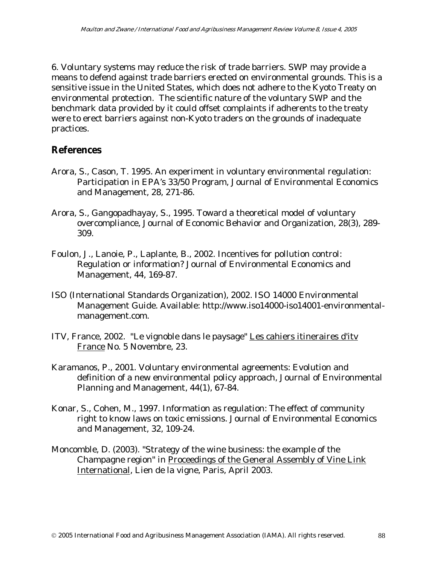6. Voluntary systems may reduce the risk of trade barriers. SWP may provide a means to defend against trade barriers erected on environmental grounds. This is a sensitive issue in the United States, which does not adhere to the Kyoto Treaty on environmental protection. The scientific nature of the voluntary SWP and the benchmark data provided by it could offset complaints if adherents to the treaty were to erect barriers against non-Kyoto traders on the grounds of inadequate practices.

#### **References**

- Arora, S., Cason, T. 1995. An experiment in voluntary environmental regulation: Participation in EPA's 33/50 Program, Journal of Environmental Economics and Management, 28, 271-86.
- Arora, S., Gangopadhayay, S., 1995. Toward a theoretical model of voluntary overcompliance, Journal of Economic Behavior and Organization, 28(3), 289- 309.
- Foulon, J., Lanoie, P., Laplante, B., 2002. Incentives for pollution control: Regulation or information? Journal of Environmental Economics and Management, 44, 169-87.
- ISO (International Standards Organization), 2002. ISO 14000 Environmental Management Guide. Available: http://www.iso14000-iso14001-environmentalmanagement.com.
- ITV, France, 2002. "Le vignoble dans le paysage" Les cahiers itineraires d'itv France No. 5 Novembre, 23.
- Karamanos, P., 2001. Voluntary environmental agreements: Evolution and definition of a new environmental policy approach, Journal of Environmental Planning and Management, 44(1), 67-84.
- Konar, S., Cohen, M., 1997. Information as regulation: The effect of community right to know laws on toxic emissions. Journal of Environmental Economics and Management, 32, 109-24.
- Moncomble, D. (2003). "Strategy of the wine business: the example of the Champagne region" in Proceedings of the General Assembly of Vine Link International, Lien de la vigne, Paris, April 2003.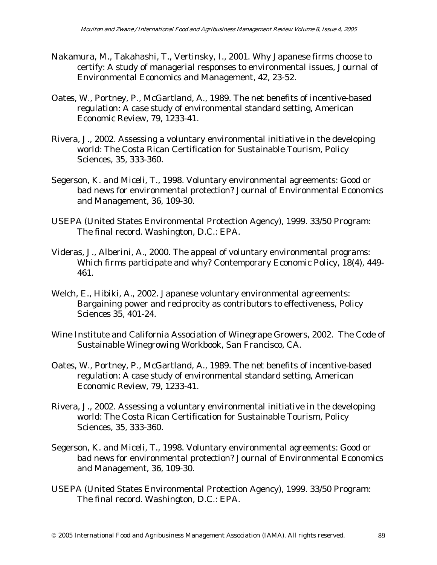- Nakamura, M., Takahashi, T., Vertinsky, I., 2001. Why Japanese firms choose to certify: A study of managerial responses to environmental issues, Journal of Environmental Economics and Management, 42, 23-52.
- Oates, W., Portney, P., McGartland, A., 1989. The net benefits of incentive-based regulation: A case study of environmental standard setting, American Economic Review, 79, 1233-41.
- Rivera, J., 2002. Assessing a voluntary environmental initiative in the developing world: The Costa Rican Certification for Sustainable Tourism, Policy Sciences, 35, 333-360.
- Segerson, K. and Miceli, T., 1998. Voluntary environmental agreements: Good or bad news for environmental protection? Journal of Environmental Economics and Management, 36, 109-30.
- USEPA (United States Environmental Protection Agency), 1999. 33/50 Program: The final record. Washington, D.C.: EPA.
- Videras, J., Alberini, A., 2000. The appeal of voluntary environmental programs: Which firms participate and why? Contemporary Economic Policy, 18(4), 449- 461.
- Welch, E., Hibiki, A., 2002. Japanese voluntary environmental agreements: Bargaining power and reciprocity as contributors to effectiveness, Policy Sciences 35, 401-24.
- Wine Institute and California Association of Winegrape Growers, 2002. The Code of Sustainable Winegrowing Workbook, San Francisco, CA.
- Oates, W., Portney, P., McGartland, A., 1989. The net benefits of incentive-based regulation: A case study of environmental standard setting, American Economic Review, 79, 1233-41.
- Rivera, J., 2002. Assessing a voluntary environmental initiative in the developing world: The Costa Rican Certification for Sustainable Tourism, Policy Sciences, 35, 333-360.
- Segerson, K. and Miceli, T., 1998. Voluntary environmental agreements: Good or bad news for environmental protection? Journal of Environmental Economics and Management, 36, 109-30.
- USEPA (United States Environmental Protection Agency), 1999. 33/50 Program: The final record. Washington, D.C.: EPA.